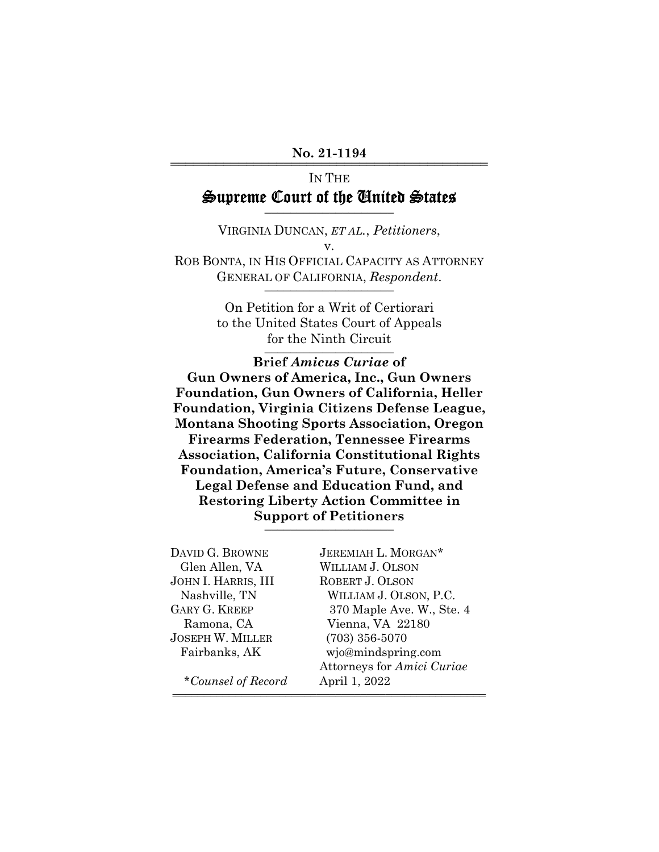### No. 21-1194

# IN THE Supreme Court of the United States

VIRGINIA DUNCAN, *ET AL.*, *Petitioners*, v. ROB BONTA, IN HIS OFFICIAL CAPACITY AS ATTORNEY GENERAL OF CALIFORNIA, Respondent.

> On Petition for a Writ of Certiorari to the United States Court of Appeals for the Ninth Circuit

**Brief** *Amicus Curiae* **of Gun Owners of America, Inc., Gun Owners Foundation, Gun Owners of California, Heller Foundation, Virginia Citizens Defense League, Montana Shooting Sports Association, Oregon Firearms Federation, Tennessee Firearms Association, California Constitutional Rights Foundation, America's Future, Conservative Legal Defense and Education Fund, and Restoring Liberty Action Committee in Support of Petitioners** \_\_\_\_\_\_\_\_\_\_\_\_\_\_\_\_\_\_\_\_

| DAVID G. BROWNE         | JEREMIAH L. MORGAN*        |
|-------------------------|----------------------------|
| Glen Allen, VA          | WILLIAM J. OLSON           |
| JOHN I. HARRIS, III     | ROBERT J. OLSON            |
| Nashville, TN           | WILLIAM J. OLSON, P.C.     |
| <b>GARY G. KREEP</b>    | 370 Maple Ave. W., Ste. 4  |
| Ramona, CA              | Vienna, VA 22180           |
| <b>JOSEPH W. MILLER</b> | $(703)$ 356-5070           |
| Fairbanks, AK           | wjo@mindspring.com         |
|                         | Attorneys for Amici Curiae |
| *Counsel of Record      | April 1, 2022              |
|                         |                            |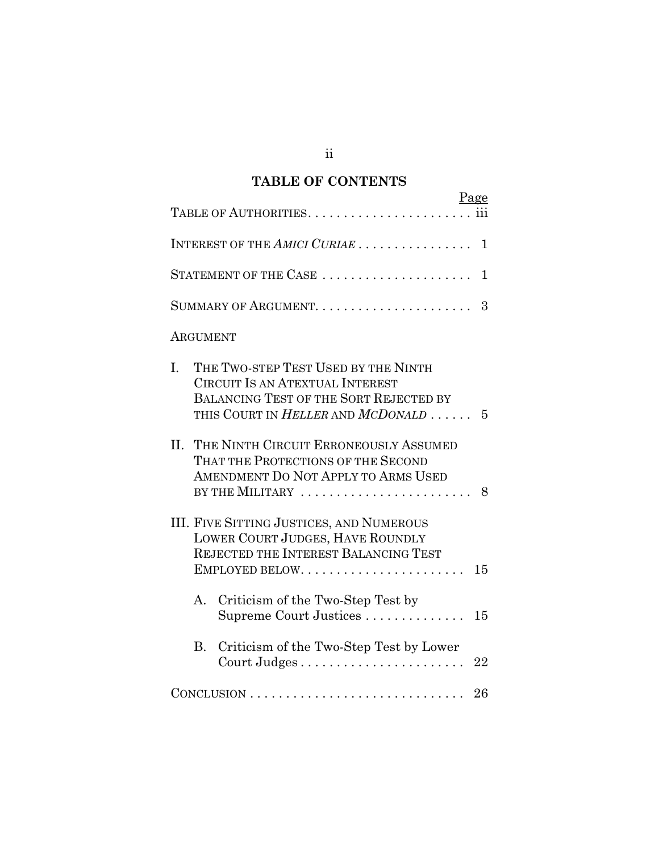# **TABLE OF CONTENTS**

| Page<br>111                                                                                                                                                                           |
|---------------------------------------------------------------------------------------------------------------------------------------------------------------------------------------|
| INTEREST OF THE AMICI CURIAE<br>$\mathbf{1}$                                                                                                                                          |
| STATEMENT OF THE CASE<br>$\mathbf{1}$                                                                                                                                                 |
| 3                                                                                                                                                                                     |
| ARGUMENT                                                                                                                                                                              |
| THE TWO-STEP TEST USED BY THE NINTH<br>I.<br><b>CIRCUIT IS AN ATEXTUAL INTEREST</b><br>BALANCING TEST OF THE SORT REJECTED BY<br>THIS COURT IN <i>HELLER</i> AND <i>MCDONALD</i><br>5 |
| II.<br>THE NINTH CIRCUIT ERRONEOUSLY ASSUMED<br>THAT THE PROTECTIONS OF THE SECOND<br>AMENDMENT DO NOT APPLY TO ARMS USED<br>BY THE MILITARY<br>8                                     |
| <b>III. FIVE SITTING JUSTICES, AND NUMEROUS</b><br>LOWER COURT JUDGES, HAVE ROUNDLY<br>REJECTED THE INTEREST BALANCING TEST<br>15                                                     |
| Criticism of the Two-Step Test by<br>A.<br>Supreme Court Justices<br>15                                                                                                               |
| Criticism of the Two-Step Test by Lower<br>$B_{\cdot}$<br>22                                                                                                                          |
| 26                                                                                                                                                                                    |

ii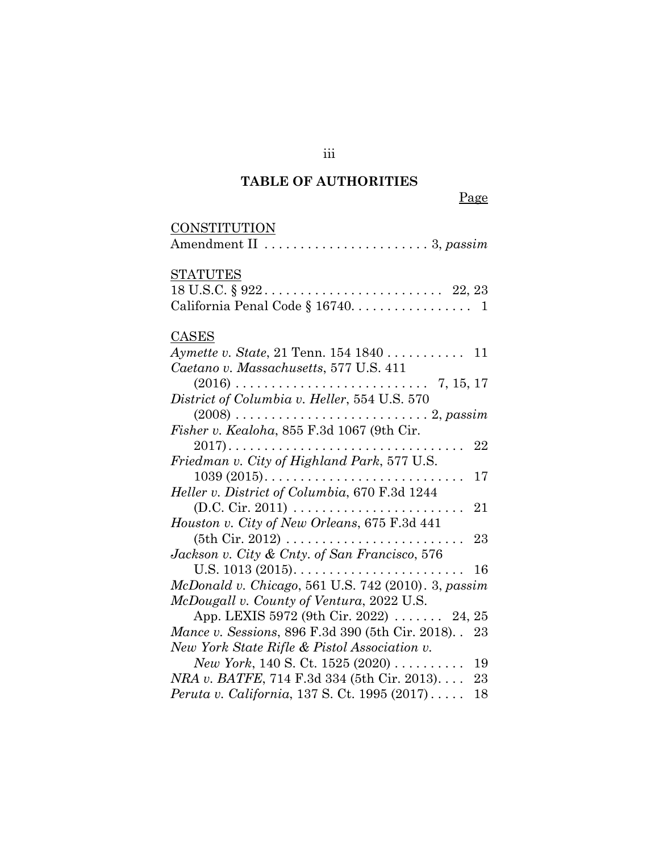# **TABLE OF AUTHORITIES**

|--|

| CONSTITUTION                                                  |
|---------------------------------------------------------------|
| Amendment II  3, passim                                       |
| <b>STATUTES</b>                                               |
|                                                               |
|                                                               |
| <b>CASES</b>                                                  |
| Aymette v. State, 21 Tenn. 154 1840 11                        |
| Caetano v. Massachusetts, 577 U.S. 411                        |
|                                                               |
| District of Columbia v. Heller, 554 U.S. 570                  |
|                                                               |
| Fisher v. Kealoha, 855 F.3d 1067 (9th Cir.                    |
| 22                                                            |
| Friedman v. City of Highland Park, 577 U.S.                   |
| 17<br>$1039 (2015)$                                           |
| Heller v. District of Columbia, 670 F.3d 1244                 |
| 21                                                            |
| Houston v. City of New Orleans, 675 F.3d 441                  |
| 23                                                            |
| Jackson v. City & Cnty. of San Francisco, 576                 |
| 16                                                            |
| McDonald v. Chicago, 561 U.S. 742 (2010). 3, passim           |
| McDougall v. County of Ventura, 2022 U.S.                     |
| App. LEXIS 5972 (9th Cir. 2022) $\ldots$ 24, 25               |
| Mance v. Sessions, 896 F.3d 390 (5th Cir. 2018). 23           |
| New York State Rifle & Pistol Association v.                  |
| New York, 140 S. Ct. 1525 (2020) $\ldots \ldots \ldots$<br>19 |
| <i>NRA v. BATFE</i> , 714 F.3d 334 (5th Cir. 2013)<br>23      |
| Peruta v. California, 137 S. Ct. 1995 (2017)<br>18            |

iii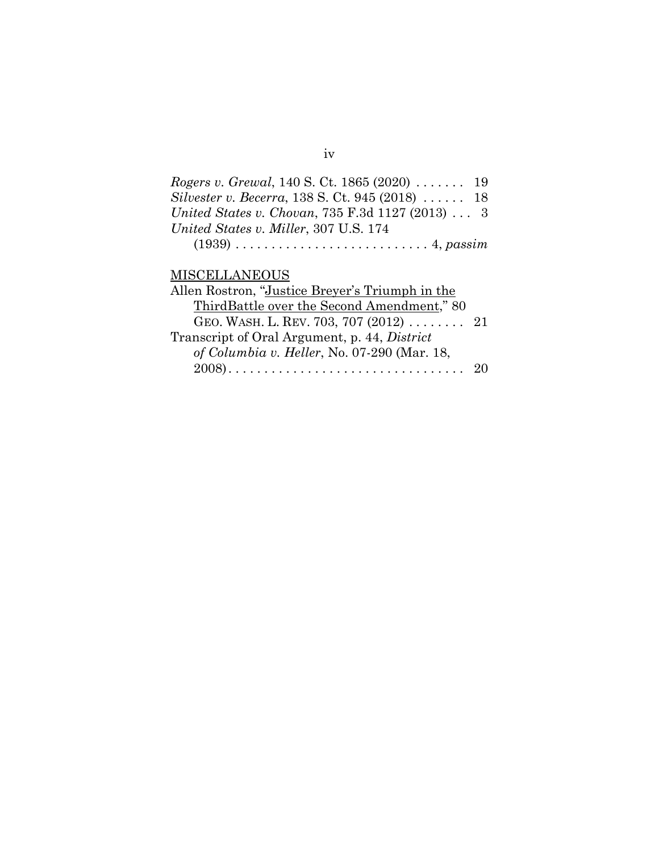| <i>Rogers v. Grewal,</i> 140 S. Ct. 1865 (2020) $\ldots \ldots$ 19 |  |
|--------------------------------------------------------------------|--|
| <i>Silvester v. Becerra,</i> 138 S. Ct. 945 (2018)  18             |  |
| United States v. Chovan, 735 F.3d 1127 (2013)  3                   |  |
| United States v. Miller, 307 U.S. 174                              |  |
|                                                                    |  |

# **MISCELLANEOUS**

| Allen Rostron, "Justice Breyer's Triumph in the |  |
|-------------------------------------------------|--|
| ThirdBattle over the Second Amendment," 80      |  |
| GEO. WASH. L. REV. 703, 707 (2012)  21          |  |
| Transcript of Oral Argument, p. 44, District    |  |
| of Columbia v. Heller, No. 07-290 (Mar. 18,     |  |
|                                                 |  |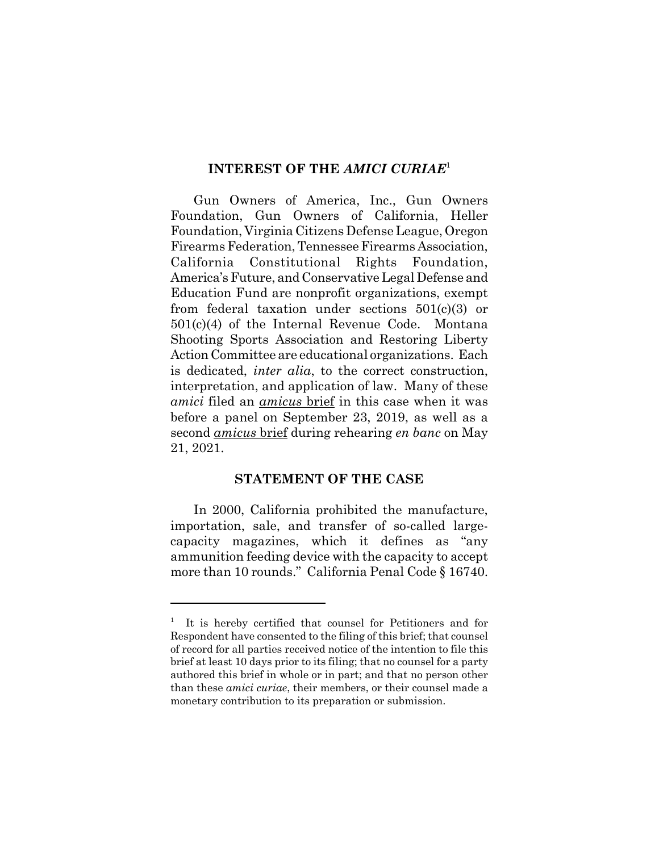## **INTEREST OF THE** *AMICI CURIAE*<sup>1</sup>

Gun Owners of America, Inc., Gun Owners Foundation, Gun Owners of California, Heller Foundation, Virginia Citizens Defense League, Oregon Firearms Federation, Tennessee Firearms Association, California Constitutional Rights Foundation, America's Future, and Conservative Legal Defense and Education Fund are nonprofit organizations, exempt from federal taxation under sections 501(c)(3) or 501(c)(4) of the Internal Revenue Code. Montana Shooting Sports Association and Restoring Liberty Action Committee are educational organizations. Each is dedicated, *inter alia*, to the correct construction, interpretation, and application of law. Many of these *amici* filed an *amicus* brief in this case when it was before a panel on September 23, 2019, as well as a second *amicus* brief during rehearing *en banc* on May 21, 2021.

## **STATEMENT OF THE CASE**

In 2000, California prohibited the manufacture, importation, sale, and transfer of so-called largecapacity magazines, which it defines as "any ammunition feeding device with the capacity to accept more than 10 rounds." California Penal Code § 16740.

<sup>1</sup> It is hereby certified that counsel for Petitioners and for Respondent have consented to the filing of this brief; that counsel of record for all parties received notice of the intention to file this brief at least 10 days prior to its filing; that no counsel for a party authored this brief in whole or in part; and that no person other than these *amici curiae*, their members, or their counsel made a monetary contribution to its preparation or submission.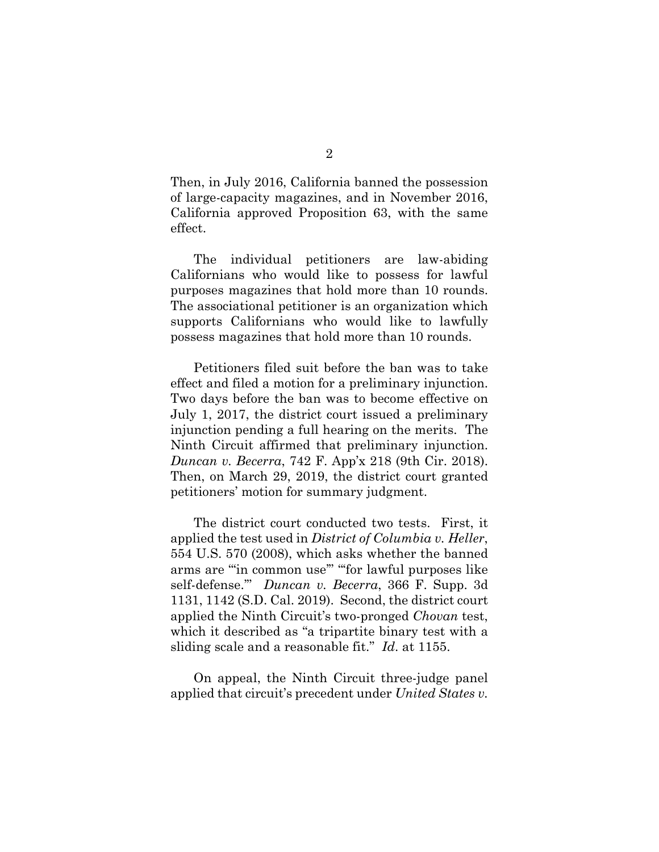Then, in July 2016, California banned the possession of large-capacity magazines, and in November 2016, California approved Proposition 63, with the same effect.

The individual petitioners are law-abiding Californians who would like to possess for lawful purposes magazines that hold more than 10 rounds. The associational petitioner is an organization which supports Californians who would like to lawfully possess magazines that hold more than 10 rounds.

Petitioners filed suit before the ban was to take effect and filed a motion for a preliminary injunction. Two days before the ban was to become effective on July 1, 2017, the district court issued a preliminary injunction pending a full hearing on the merits. The Ninth Circuit affirmed that preliminary injunction. *Duncan v. Becerra*, 742 F. App'x 218 (9th Cir. 2018). Then, on March 29, 2019, the district court granted petitioners' motion for summary judgment.

The district court conducted two tests. First, it applied the test used in *District of Columbia v. Heller*, 554 U.S. 570 (2008), which asks whether the banned arms are "'in common use'" "'for lawful purposes like self-defense.'" *Duncan v. Becerra*, 366 F. Supp. 3d 1131, 1142 (S.D. Cal. 2019). Second, the district court applied the Ninth Circuit's two-pronged *Chovan* test, which it described as "a tripartite binary test with a sliding scale and a reasonable fit." *Id*. at 1155.

On appeal, the Ninth Circuit three-judge panel applied that circuit's precedent under *United States v.*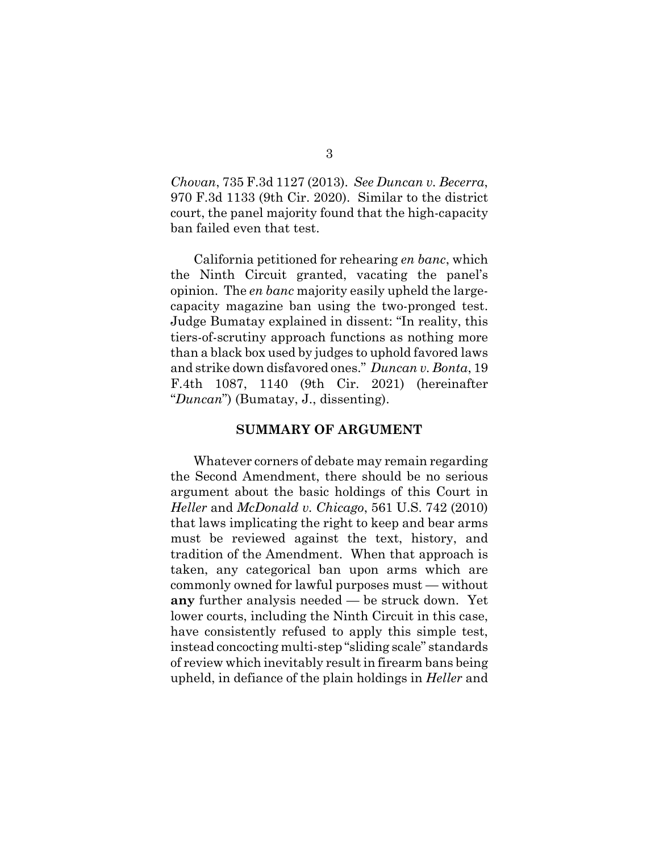*Chovan*, 735 F.3d 1127 (2013). *See Duncan v. Becerra*, 970 F.3d 1133 (9th Cir. 2020). Similar to the district court, the panel majority found that the high-capacity ban failed even that test.

California petitioned for rehearing *en banc*, which the Ninth Circuit granted, vacating the panel's opinion. The *en banc* majority easily upheld the largecapacity magazine ban using the two-pronged test. Judge Bumatay explained in dissent: "In reality, this tiers-of-scrutiny approach functions as nothing more than a black box used by judges to uphold favored laws and strike down disfavored ones." *Duncan v. Bonta*, 19 F.4th 1087, 1140 (9th Cir. 2021) (hereinafter "*Duncan*") (Bumatay, J., dissenting).

#### **SUMMARY OF ARGUMENT**

Whatever corners of debate may remain regarding the Second Amendment, there should be no serious argument about the basic holdings of this Court in *Heller* and *McDonald v. Chicago*, 561 U.S. 742 (2010) that laws implicating the right to keep and bear arms must be reviewed against the text, history, and tradition of the Amendment. When that approach is taken, any categorical ban upon arms which are commonly owned for lawful purposes must — without **any** further analysis needed — be struck down. Yet lower courts, including the Ninth Circuit in this case, have consistently refused to apply this simple test, instead concocting multi-step "sliding scale" standards of review which inevitably result in firearm bans being upheld, in defiance of the plain holdings in *Heller* and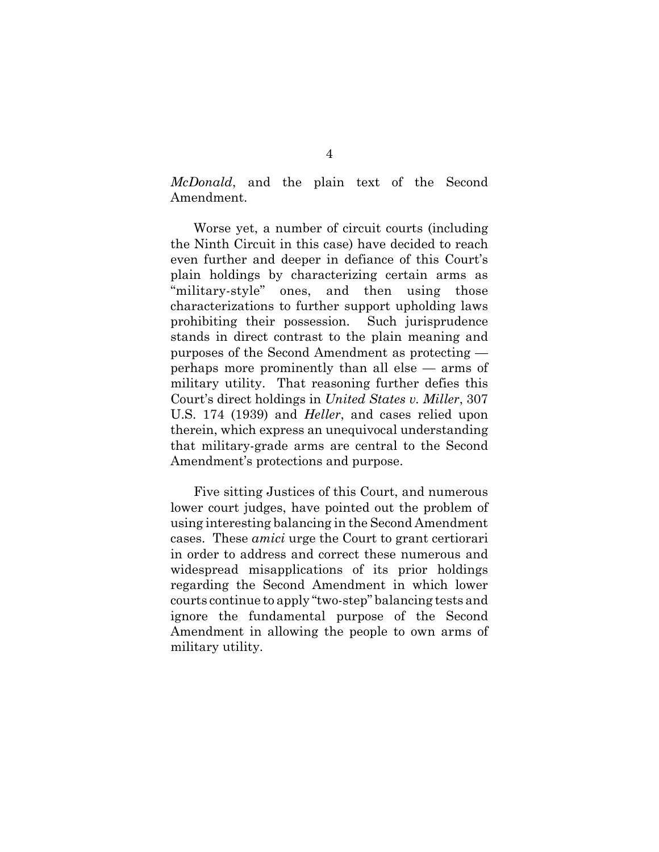*McDonald*, and the plain text of the Second Amendment.

Worse yet, a number of circuit courts (including the Ninth Circuit in this case) have decided to reach even further and deeper in defiance of this Court's plain holdings by characterizing certain arms as "military-style" ones, and then using those characterizations to further support upholding laws prohibiting their possession. Such jurisprudence stands in direct contrast to the plain meaning and purposes of the Second Amendment as protecting perhaps more prominently than all else — arms of military utility. That reasoning further defies this Court's direct holdings in *United States v. Miller*, 307 U.S. 174 (1939) and *Heller*, and cases relied upon therein, which express an unequivocal understanding that military-grade arms are central to the Second Amendment's protections and purpose.

Five sitting Justices of this Court, and numerous lower court judges, have pointed out the problem of using interesting balancing in the Second Amendment cases. These *amici* urge the Court to grant certiorari in order to address and correct these numerous and widespread misapplications of its prior holdings regarding the Second Amendment in which lower courts continue to apply "two-step" balancing tests and ignore the fundamental purpose of the Second Amendment in allowing the people to own arms of military utility.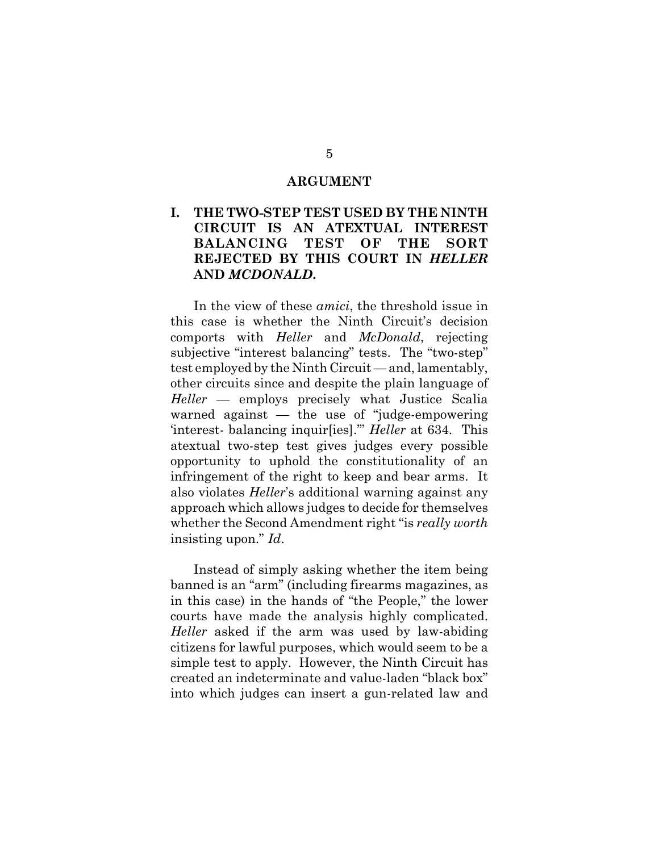#### **ARGUMENT**

# **I. THE TWO-STEP TEST USED BY THE NINTH CIRCUIT IS AN ATEXTUAL INTEREST BALANCING TEST OF THE SORT REJECTED BY THIS COURT IN** *HELLER* **AND** *MCDONALD***.**

In the view of these *amici*, the threshold issue in this case is whether the Ninth Circuit's decision comports with *Heller* and *McDonald*, rejecting subjective "interest balancing" tests. The "two-step" test employed by the Ninth Circuit — and, lamentably, other circuits since and despite the plain language of *Heller* — employs precisely what Justice Scalia warned against — the use of "judge-empowering 'interest- balancing inquir[ies].'" *Heller* at 634. This atextual two-step test gives judges every possible opportunity to uphold the constitutionality of an infringement of the right to keep and bear arms. It also violates *Heller*'s additional warning against any approach which allows judges to decide for themselves whether the Second Amendment right "is *really worth* insisting upon." *Id*.

Instead of simply asking whether the item being banned is an "arm" (including firearms magazines, as in this case) in the hands of "the People," the lower courts have made the analysis highly complicated. *Heller* asked if the arm was used by law-abiding citizens for lawful purposes, which would seem to be a simple test to apply. However, the Ninth Circuit has created an indeterminate and value-laden "black box" into which judges can insert a gun-related law and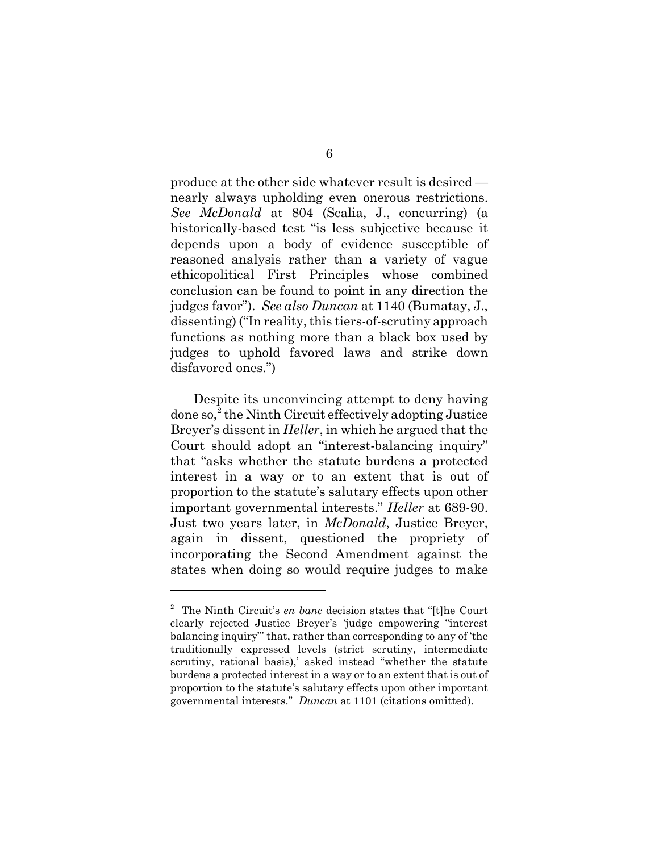produce at the other side whatever result is desired nearly always upholding even onerous restrictions. *See McDonald* at 804 (Scalia, J., concurring) (a historically-based test "is less subjective because it depends upon a body of evidence susceptible of reasoned analysis rather than a variety of vague ethicopolitical First Principles whose combined conclusion can be found to point in any direction the judges favor"). *See also Duncan* at 1140 (Bumatay, J., dissenting) ("In reality, this tiers-of-scrutiny approach functions as nothing more than a black box used by judges to uphold favored laws and strike down disfavored ones.")

Despite its unconvincing attempt to deny having done so,<sup>2</sup> the Ninth Circuit effectively adopting Justice Breyer's dissent in *Heller*, in which he argued that the Court should adopt an "interest-balancing inquiry" that "asks whether the statute burdens a protected interest in a way or to an extent that is out of proportion to the statute's salutary effects upon other important governmental interests." *Heller* at 689-90. Just two years later, in *McDonald*, Justice Breyer, again in dissent, questioned the propriety of incorporating the Second Amendment against the states when doing so would require judges to make

<sup>2</sup> The Ninth Circuit's *en banc* decision states that "[t]he Court clearly rejected Justice Breyer's 'judge empowering "interest balancing inquiry"' that, rather than corresponding to any of 'the traditionally expressed levels (strict scrutiny, intermediate scrutiny, rational basis),' asked instead "whether the statute burdens a protected interest in a way or to an extent that is out of proportion to the statute's salutary effects upon other important governmental interests." *Duncan* at 1101 (citations omitted).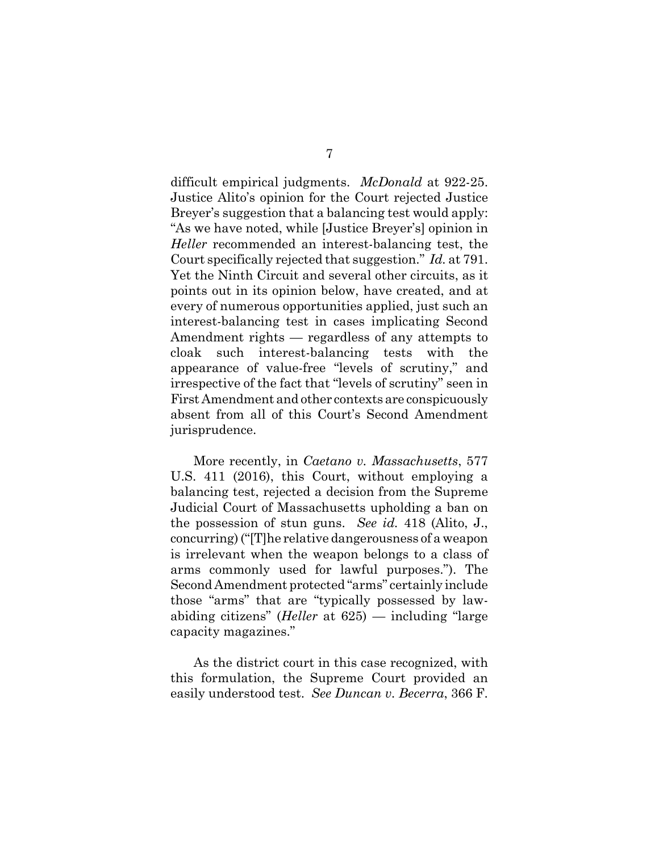difficult empirical judgments. *McDonald* at 922-25. Justice Alito's opinion for the Court rejected Justice Breyer's suggestion that a balancing test would apply: "As we have noted, while [Justice Breyer's] opinion in *Heller* recommended an interest-balancing test, the Court specifically rejected that suggestion." *Id.* at 791. Yet the Ninth Circuit and several other circuits, as it points out in its opinion below, have created, and at every of numerous opportunities applied, just such an interest-balancing test in cases implicating Second Amendment rights — regardless of any attempts to cloak such interest-balancing tests with the appearance of value-free "levels of scrutiny," and irrespective of the fact that "levels of scrutiny" seen in First Amendment and other contexts are conspicuously absent from all of this Court's Second Amendment jurisprudence.

More recently, in *Caetano v. Massachusetts*, 577 U.S. 411 (2016), this Court, without employing a balancing test, rejected a decision from the Supreme Judicial Court of Massachusetts upholding a ban on the possession of stun guns. *See id.* 418 (Alito, J., concurring) ("[T]he relative dangerousness of a weapon is irrelevant when the weapon belongs to a class of arms commonly used for lawful purposes."). The Second Amendment protected "arms" certainly include those "arms" that are "typically possessed by lawabiding citizens" (*Heller* at 625) — including "large capacity magazines."

As the district court in this case recognized, with this formulation, the Supreme Court provided an easily understood test. *See Duncan v. Becerra*, 366 F.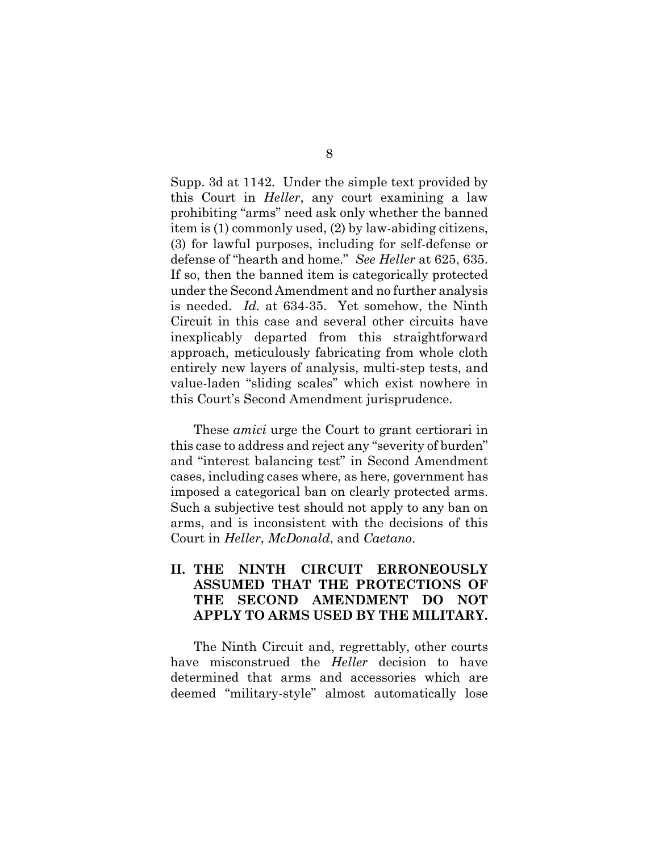Supp. 3d at 1142. Under the simple text provided by this Court in *Heller*, any court examining a law prohibiting "arms" need ask only whether the banned item is (1) commonly used, (2) by law-abiding citizens, (3) for lawful purposes, including for self-defense or defense of "hearth and home." *See Heller* at 625, 635. If so, then the banned item is categorically protected under the Second Amendment and no further analysis is needed. *Id.* at 634-35. Yet somehow, the Ninth Circuit in this case and several other circuits have inexplicably departed from this straightforward approach, meticulously fabricating from whole cloth entirely new layers of analysis, multi-step tests, and value-laden "sliding scales" which exist nowhere in this Court's Second Amendment jurisprudence.

These *amici* urge the Court to grant certiorari in this case to address and reject any "severity of burden" and "interest balancing test" in Second Amendment cases, including cases where, as here, government has imposed a categorical ban on clearly protected arms. Such a subjective test should not apply to any ban on arms, and is inconsistent with the decisions of this Court in *Heller*, *McDonald*, and *Caetano*.

## **II. THE NINTH CIRCUIT ERRONEOUSLY ASSUMED THAT THE PROTECTIONS OF THE SECOND AMENDMENT DO NOT APPLY TO ARMS USED BY THE MILITARY.**

The Ninth Circuit and, regrettably, other courts have misconstrued the *Heller* decision to have determined that arms and accessories which are deemed "military-style" almost automatically lose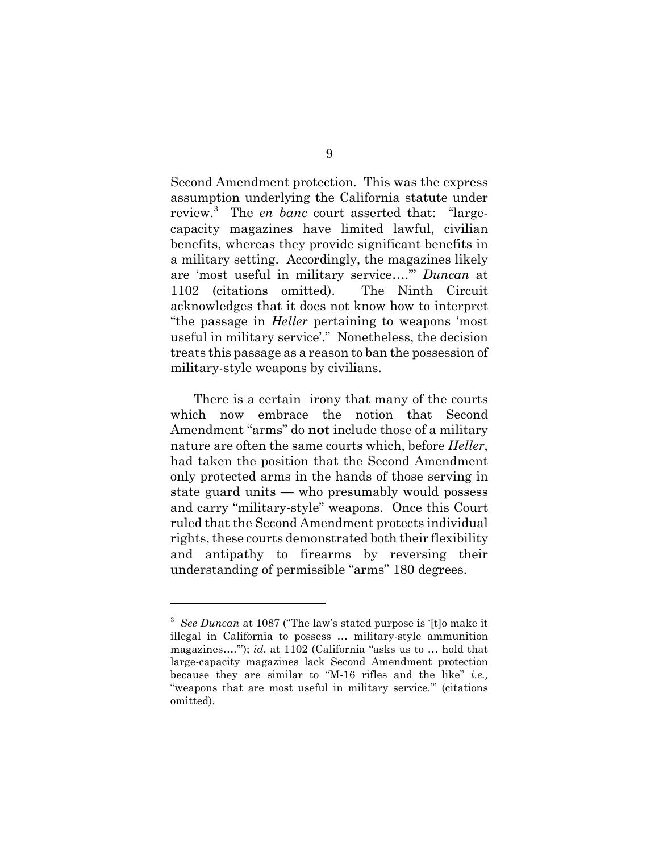Second Amendment protection. This was the express assumption underlying the California statute under review.<sup>3</sup> The *en banc* court asserted that: "largecapacity magazines have limited lawful, civilian benefits, whereas they provide significant benefits in a military setting. Accordingly, the magazines likely are 'most useful in military service….'" *Duncan* at 1102 (citations omitted). The Ninth Circuit acknowledges that it does not know how to interpret "the passage in *Heller* pertaining to weapons 'most useful in military service'." Nonetheless, the decision treats this passage as a reason to ban the possession of military-style weapons by civilians.

There is a certain irony that many of the courts which now embrace the notion that Second Amendment "arms" do **not** include those of a military nature are often the same courts which, before *Heller*, had taken the position that the Second Amendment only protected arms in the hands of those serving in state guard units — who presumably would possess and carry "military-style" weapons. Once this Court ruled that the Second Amendment protects individual rights, these courts demonstrated both their flexibility and antipathy to firearms by reversing their understanding of permissible "arms" 180 degrees.

<sup>&</sup>lt;sup>3</sup> See Duncan at 1087 ("The law's stated purpose is '[t]o make it illegal in California to possess … military-style ammunition magazines….'"); *id*. at 1102 (California "asks us to … hold that large-capacity magazines lack Second Amendment protection because they are similar to "M-16 rifles and the like" *i.e.,* "weapons that are most useful in military service.'" (citations omitted).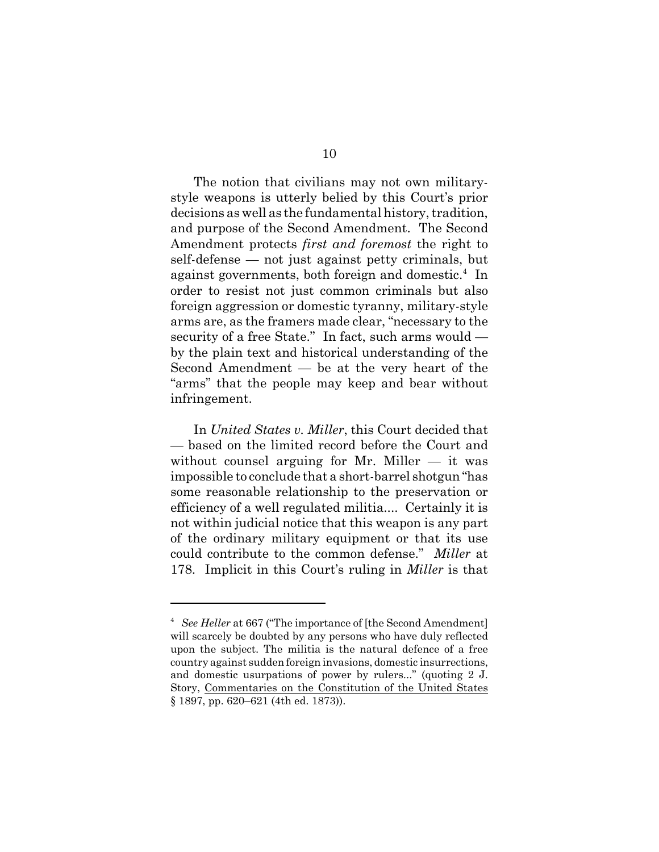The notion that civilians may not own militarystyle weapons is utterly belied by this Court's prior decisions as well as the fundamental history, tradition, and purpose of the Second Amendment. The Second Amendment protects *first and foremost* the right to self-defense — not just against petty criminals, but against governments, both foreign and domestic.<sup>4</sup> In order to resist not just common criminals but also foreign aggression or domestic tyranny, military-style arms are, as the framers made clear, "necessary to the security of a free State." In fact, such arms would by the plain text and historical understanding of the Second Amendment — be at the very heart of the "arms" that the people may keep and bear without infringement.

In *United States v. Miller*, this Court decided that — based on the limited record before the Court and without counsel arguing for Mr. Miller  $-$  it was impossible to conclude that a short-barrel shotgun "has some reasonable relationship to the preservation or efficiency of a well regulated militia.... Certainly it is not within judicial notice that this weapon is any part of the ordinary military equipment or that its use could contribute to the common defense." *Miller* at 178. Implicit in this Court's ruling in *Miller* is that

<sup>&</sup>lt;sup>4</sup> See Heller at 667 ("The importance of [the Second Amendment] will scarcely be doubted by any persons who have duly reflected upon the subject. The militia is the natural defence of a free country against sudden foreign invasions, domestic insurrections, and domestic usurpations of power by rulers..." (quoting 2 J. Story, Commentaries on the Constitution of the United States § 1897, pp. 620–621 (4th ed. 1873)).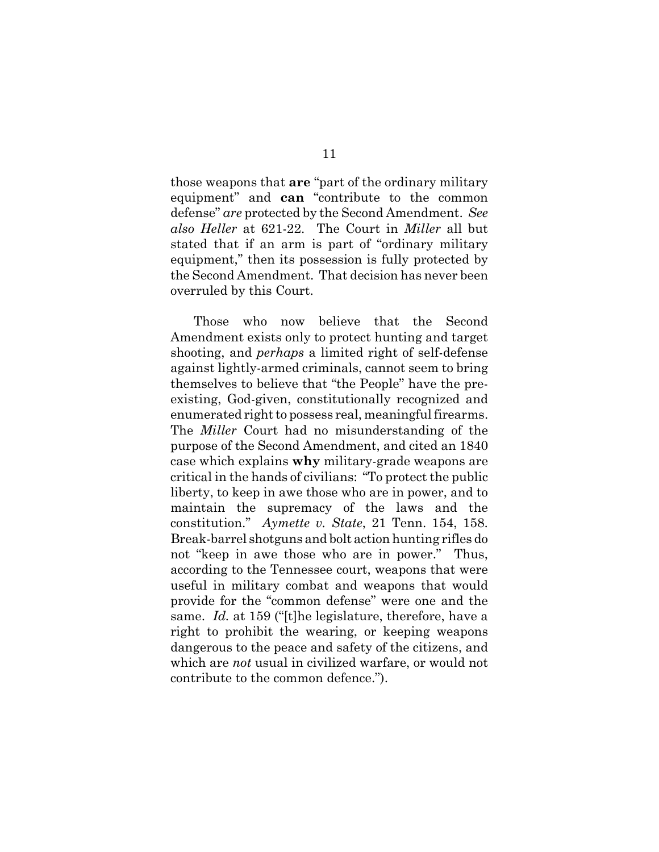those weapons that **are** "part of the ordinary military equipment" and **can** "contribute to the common defense" *are* protected by the Second Amendment. *See also Heller* at 621-22. The Court in *Miller* all but stated that if an arm is part of "ordinary military equipment," then its possession is fully protected by the Second Amendment. That decision has never been overruled by this Court.

Those who now believe that the Second Amendment exists only to protect hunting and target shooting, and *perhaps* a limited right of self-defense against lightly-armed criminals, cannot seem to bring themselves to believe that "the People" have the preexisting, God-given, constitutionally recognized and enumerated right to possess real, meaningful firearms. The *Miller* Court had no misunderstanding of the purpose of the Second Amendment, and cited an 1840 case which explains **why** military-grade weapons are critical in the hands of civilians: "To protect the public liberty, to keep in awe those who are in power, and to maintain the supremacy of the laws and the constitution." *Aymette v. State*, 21 Tenn. 154, 158. Break-barrel shotguns and bolt action hunting rifles do not "keep in awe those who are in power." Thus, according to the Tennessee court, weapons that were useful in military combat and weapons that would provide for the "common defense" were one and the same. *Id.* at 159 ("[t]he legislature, therefore, have a right to prohibit the wearing, or keeping weapons dangerous to the peace and safety of the citizens, and which are *not* usual in civilized warfare, or would not contribute to the common defence.").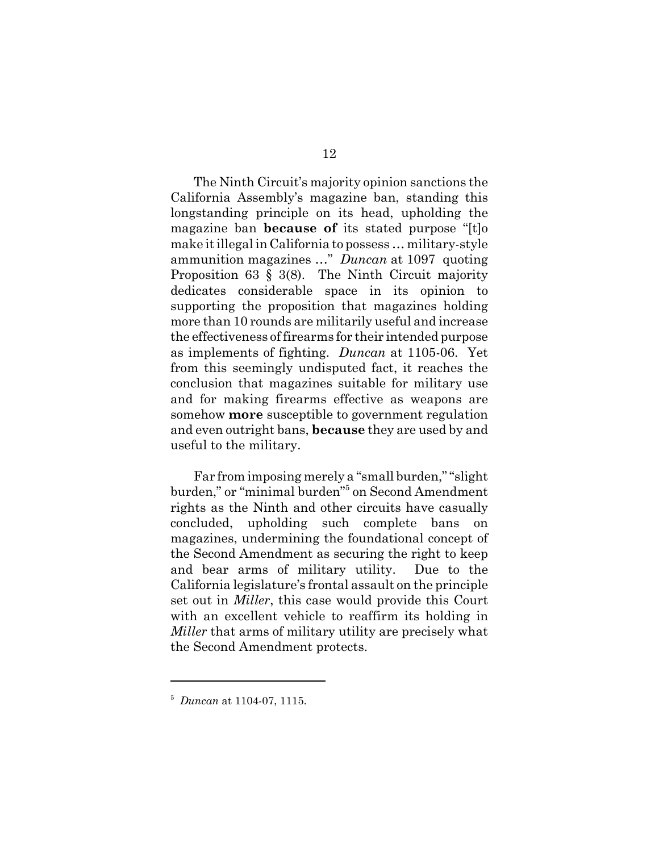The Ninth Circuit's majority opinion sanctions the California Assembly's magazine ban, standing this longstanding principle on its head, upholding the magazine ban **because of** its stated purpose "[t]o make it illegal in California to possess … military-style ammunition magazines …" *Duncan* at 1097 quoting Proposition 63 § 3(8). The Ninth Circuit majority dedicates considerable space in its opinion to supporting the proposition that magazines holding more than 10 rounds are militarily useful and increase the effectiveness of firearms for their intended purpose as implements of fighting. *Duncan* at 1105-06. Yet from this seemingly undisputed fact, it reaches the conclusion that magazines suitable for military use and for making firearms effective as weapons are somehow **more** susceptible to government regulation and even outright bans, **because** they are used by and useful to the military.

Far from imposing merely a "small burden," "slight burden," or "minimal burden"<sup>5</sup> on Second Amendment rights as the Ninth and other circuits have casually concluded, upholding such complete bans on magazines, undermining the foundational concept of the Second Amendment as securing the right to keep and bear arms of military utility. Due to the California legislature's frontal assault on the principle set out in *Miller*, this case would provide this Court with an excellent vehicle to reaffirm its holding in *Miller* that arms of military utility are precisely what the Second Amendment protects.

<sup>5</sup> *Duncan* at 1104-07, 1115.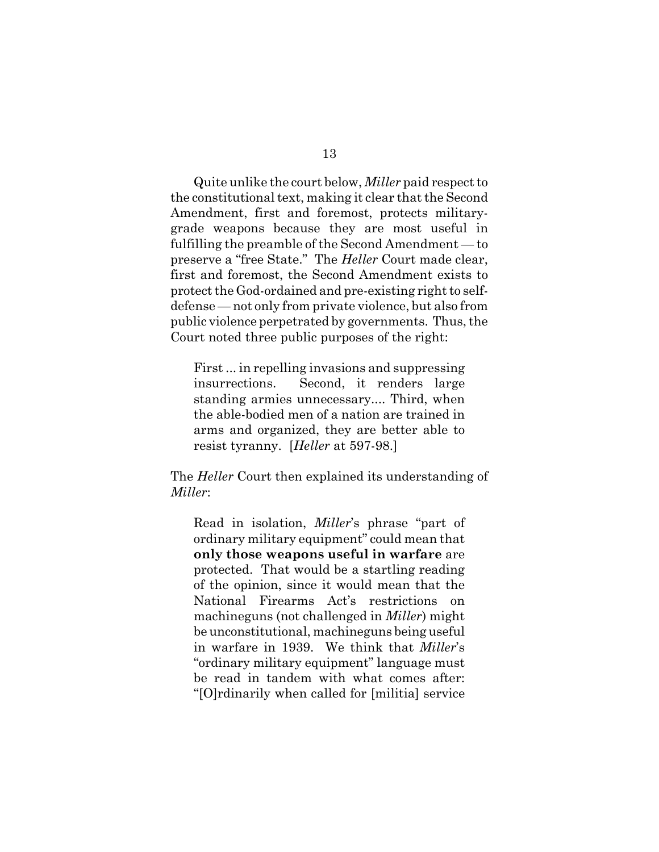Quite unlike the court below, *Miller* paid respect to the constitutional text, making it clear that the Second Amendment, first and foremost, protects militarygrade weapons because they are most useful in fulfilling the preamble of the Second Amendment — to preserve a "free State." The *Heller* Court made clear, first and foremost, the Second Amendment exists to protect the God-ordained and pre-existing right to selfdefense — not only from private violence, but also from public violence perpetrated by governments. Thus, the Court noted three public purposes of the right:

First ... in repelling invasions and suppressing insurrections. Second, it renders large standing armies unnecessary.... Third, when the able-bodied men of a nation are trained in arms and organized, they are better able to resist tyranny. [*Heller* at 597-98.]

The *Heller* Court then explained its understanding of *Miller*:

Read in isolation, *Miller*'s phrase "part of ordinary military equipment" could mean that **only those weapons useful in warfare** are protected. That would be a startling reading of the opinion, since it would mean that the National Firearms Act's restrictions on machineguns (not challenged in *Miller*) might be unconstitutional, machineguns being useful in warfare in 1939. We think that *Miller*'s "ordinary military equipment" language must be read in tandem with what comes after: "[O]rdinarily when called for [militia] service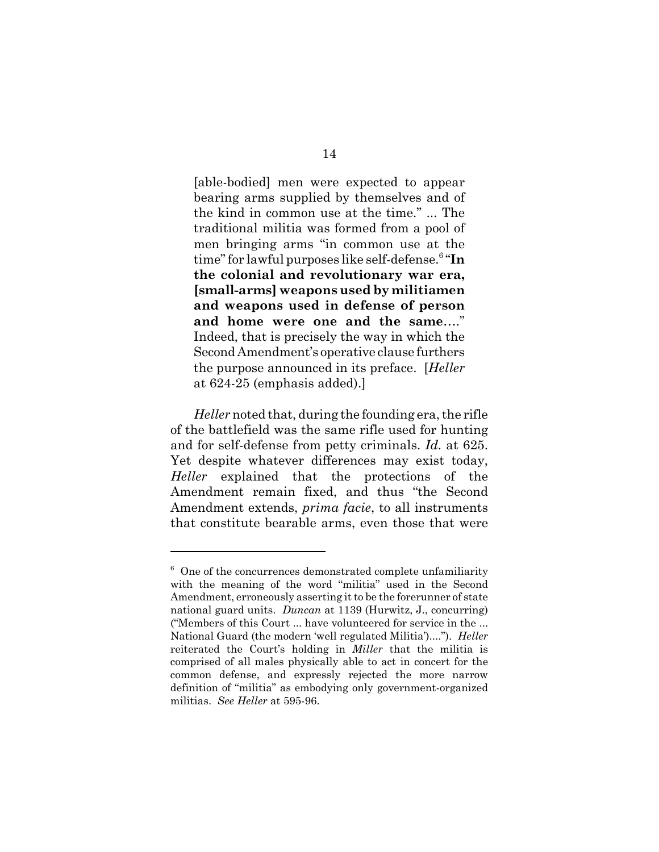[able-bodied] men were expected to appear bearing arms supplied by themselves and of the kind in common use at the time." ... The traditional militia was formed from a pool of men bringing arms "in common use at the time" for lawful purposes like self-defense.6 "**In the colonial and revolutionary war era, [small-arms] weapons used by militiamen and weapons used in defense of person and home were one and the same**…." Indeed, that is precisely the way in which the Second Amendment's operative clause furthers the purpose announced in its preface. [*Heller* at 624-25 (emphasis added).]

*Heller* noted that, during the founding era, the rifle of the battlefield was the same rifle used for hunting and for self-defense from petty criminals. *Id.* at 625. Yet despite whatever differences may exist today, *Heller* explained that the protections of the Amendment remain fixed, and thus "the Second Amendment extends, *prima facie*, to all instruments that constitute bearable arms, even those that were

 $6$  One of the concurrences demonstrated complete unfamiliarity with the meaning of the word "militia" used in the Second Amendment, erroneously asserting it to be the forerunner of state national guard units. *Duncan* at 1139 (Hurwitz, J., concurring) ("Members of this Court ... have volunteered for service in the ... National Guard (the modern 'well regulated Militia')...."). *Heller* reiterated the Court's holding in *Miller* that the militia is comprised of all males physically able to act in concert for the common defense, and expressly rejected the more narrow definition of "militia" as embodying only government-organized militias. *See Heller* at 595-96.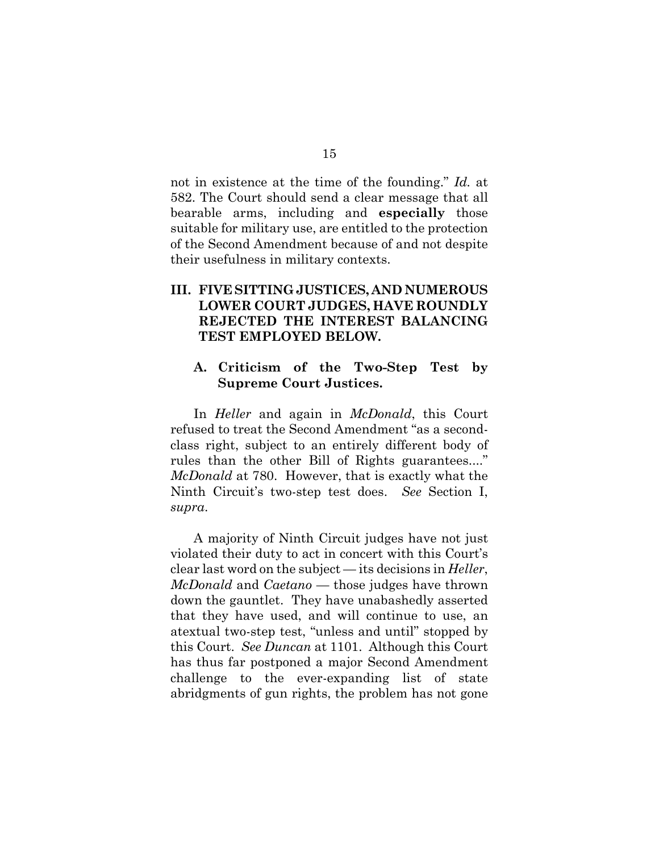not in existence at the time of the founding." *Id.* at 582. The Court should send a clear message that all bearable arms, including and **especially** those suitable for military use, are entitled to the protection of the Second Amendment because of and not despite their usefulness in military contexts.

# **III. FIVE SITTING JUSTICES, AND NUMEROUS LOWER COURT JUDGES, HAVE ROUNDLY REJECTED THE INTEREST BALANCING TEST EMPLOYED BELOW.**

## **A. Criticism of the Two-Step Test by Supreme Court Justices.**

In *Heller* and again in *McDonald*, this Court refused to treat the Second Amendment "as a secondclass right, subject to an entirely different body of rules than the other Bill of Rights guarantees...." *McDonald* at 780. However, that is exactly what the Ninth Circuit's two-step test does. *See* Section I, *supra*.

A majority of Ninth Circuit judges have not just violated their duty to act in concert with this Court's clear last word on the subject — its decisions in *Heller*, *McDonald* and *Caetano* — those judges have thrown down the gauntlet. They have unabashedly asserted that they have used, and will continue to use, an atextual two-step test, "unless and until" stopped by this Court. *See Duncan* at 1101. Although this Court has thus far postponed a major Second Amendment challenge to the ever-expanding list of state abridgments of gun rights, the problem has not gone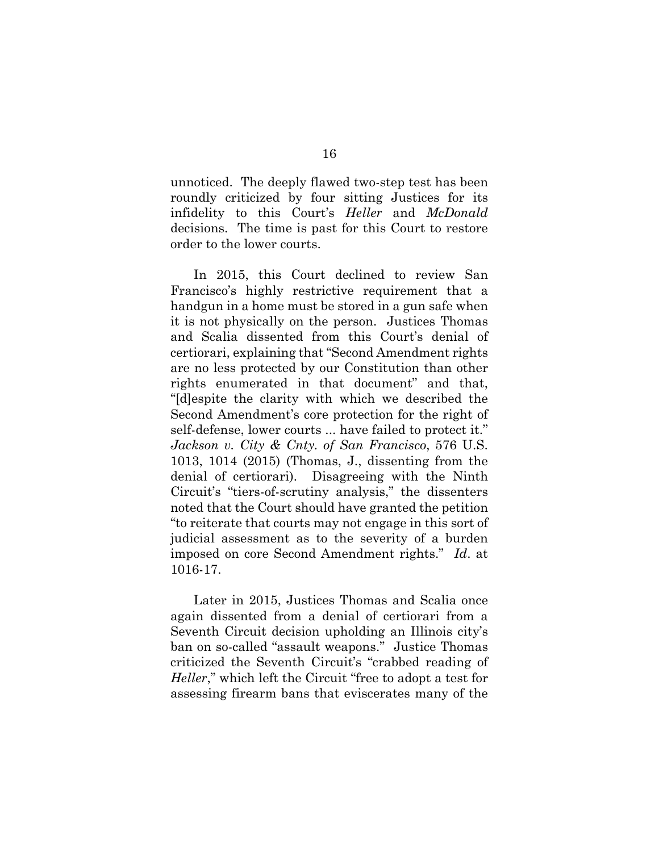unnoticed. The deeply flawed two-step test has been roundly criticized by four sitting Justices for its infidelity to this Court's *Heller* and *McDonald* decisions. The time is past for this Court to restore order to the lower courts.

In 2015, this Court declined to review San Francisco's highly restrictive requirement that a handgun in a home must be stored in a gun safe when it is not physically on the person. Justices Thomas and Scalia dissented from this Court's denial of certiorari, explaining that "Second Amendment rights are no less protected by our Constitution than other rights enumerated in that document" and that, "[d]espite the clarity with which we described the Second Amendment's core protection for the right of self-defense, lower courts ... have failed to protect it." *Jackson v. City & Cnty. of San Francisco*, 576 U.S. 1013, 1014 (2015) (Thomas, J., dissenting from the denial of certiorari). Disagreeing with the Ninth Circuit's "tiers-of-scrutiny analysis," the dissenters noted that the Court should have granted the petition "to reiterate that courts may not engage in this sort of judicial assessment as to the severity of a burden imposed on core Second Amendment rights." *Id*. at 1016-17.

Later in 2015, Justices Thomas and Scalia once again dissented from a denial of certiorari from a Seventh Circuit decision upholding an Illinois city's ban on so-called "assault weapons." Justice Thomas criticized the Seventh Circuit's "crabbed reading of *Heller*," which left the Circuit "free to adopt a test for assessing firearm bans that eviscerates many of the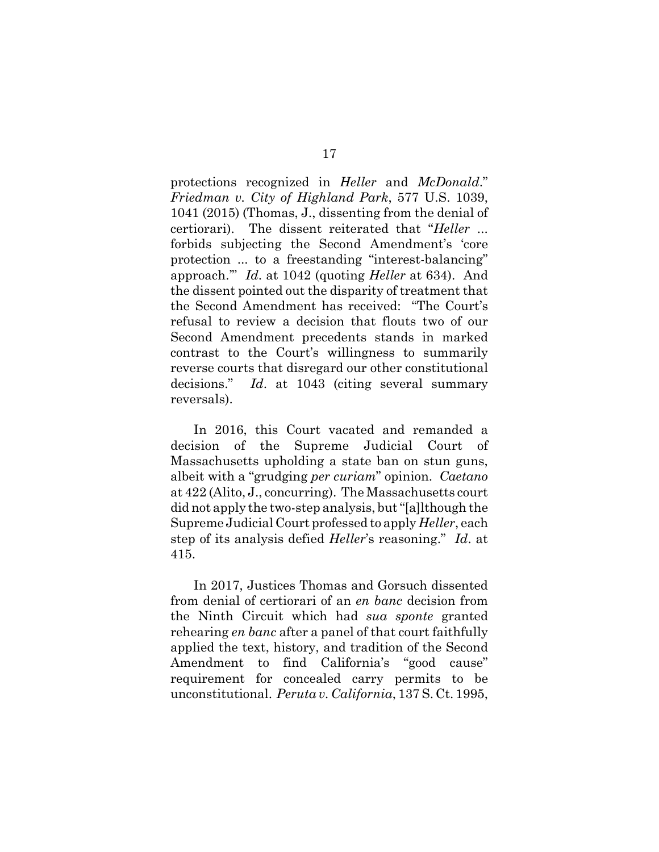protections recognized in *Heller* and *McDonald*." *Friedman v. City of Highland Park*, 577 U.S. 1039, 1041 (2015) (Thomas, J., dissenting from the denial of certiorari). The dissent reiterated that "*Heller* ... forbids subjecting the Second Amendment's 'core protection ... to a freestanding "interest-balancing" approach.'" *Id*. at 1042 (quoting *Heller* at 634). And the dissent pointed out the disparity of treatment that the Second Amendment has received: "The Court's refusal to review a decision that flouts two of our Second Amendment precedents stands in marked contrast to the Court's willingness to summarily reverse courts that disregard our other constitutional decisions." *Id*. at 1043 (citing several summary reversals).

In 2016, this Court vacated and remanded a decision of the Supreme Judicial Court of Massachusetts upholding a state ban on stun guns, albeit with a "grudging *per curiam*" opinion. *Caetano* at 422 (Alito, J., concurring). The Massachusetts court did not apply the two-step analysis, but "[a]lthough the Supreme Judicial Court professed to apply *Heller*, each step of its analysis defied *Heller*'s reasoning." *Id*. at 415.

In 2017, Justices Thomas and Gorsuch dissented from denial of certiorari of an *en banc* decision from the Ninth Circuit which had *sua sponte* granted rehearing *en banc* after a panel of that court faithfully applied the text, history, and tradition of the Second Amendment to find California's "good cause" requirement for concealed carry permits to be unconstitutional. *Peruta v. California*, 137 S. Ct. 1995,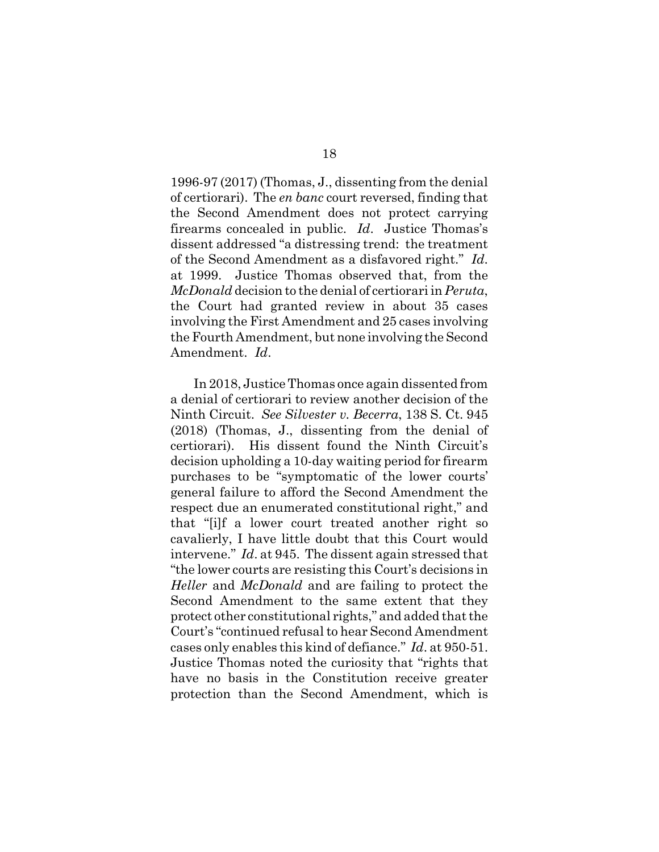1996-97 (2017) (Thomas, J., dissenting from the denial of certiorari). The *en banc* court reversed, finding that the Second Amendment does not protect carrying firearms concealed in public. *Id*. Justice Thomas's dissent addressed "a distressing trend: the treatment of the Second Amendment as a disfavored right." *Id*. at 1999. Justice Thomas observed that, from the *McDonald* decision to the denial of certiorari in *Peruta*, the Court had granted review in about 35 cases involving the First Amendment and 25 cases involving the Fourth Amendment, but none involving the Second Amendment. *Id*.

In 2018, Justice Thomas once again dissented from a denial of certiorari to review another decision of the Ninth Circuit. *See Silvester v. Becerra*, 138 S. Ct. 945 (2018) (Thomas, J., dissenting from the denial of certiorari). His dissent found the Ninth Circuit's decision upholding a 10-day waiting period for firearm purchases to be "symptomatic of the lower courts' general failure to afford the Second Amendment the respect due an enumerated constitutional right," and that "[i]f a lower court treated another right so cavalierly, I have little doubt that this Court would intervene." *Id*. at 945. The dissent again stressed that "the lower courts are resisting this Court's decisions in *Heller* and *McDonald* and are failing to protect the Second Amendment to the same extent that they protect other constitutional rights," and added that the Court's "continued refusal to hear Second Amendment cases only enables this kind of defiance." *Id*. at 950-51. Justice Thomas noted the curiosity that "rights that have no basis in the Constitution receive greater protection than the Second Amendment, which is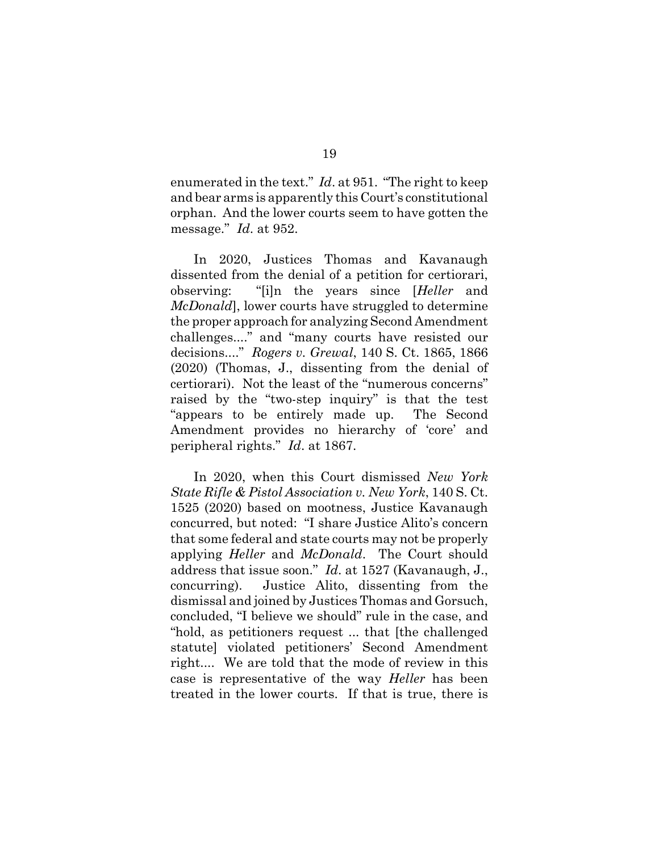enumerated in the text." *Id*. at 951. "The right to keep and bear arms is apparently this Court's constitutional orphan. And the lower courts seem to have gotten the message." *Id*. at 952.

In 2020, Justices Thomas and Kavanaugh dissented from the denial of a petition for certiorari, observing: "[i]n the years since [*Heller* and *McDonald*], lower courts have struggled to determine the proper approach for analyzing Second Amendment challenges...." and "many courts have resisted our decisions...." *Rogers v. Grewal*, 140 S. Ct. 1865, 1866 (2020) (Thomas, J., dissenting from the denial of certiorari). Not the least of the "numerous concerns" raised by the "two-step inquiry" is that the test "appears to be entirely made up. The Second Amendment provides no hierarchy of 'core' and peripheral rights." *Id*. at 1867.

In 2020, when this Court dismissed *New York State Rifle & Pistol Association v. New York*, 140 S. Ct. 1525 (2020) based on mootness, Justice Kavanaugh concurred, but noted: "I share Justice Alito's concern that some federal and state courts may not be properly applying *Heller* and *McDonald*. The Court should address that issue soon." *Id*. at 1527 (Kavanaugh, J., concurring). Justice Alito, dissenting from the dismissal and joined by Justices Thomas and Gorsuch, concluded, "I believe we should" rule in the case, and "hold, as petitioners request ... that [the challenged statute] violated petitioners' Second Amendment right.... We are told that the mode of review in this case is representative of the way *Heller* has been treated in the lower courts. If that is true, there is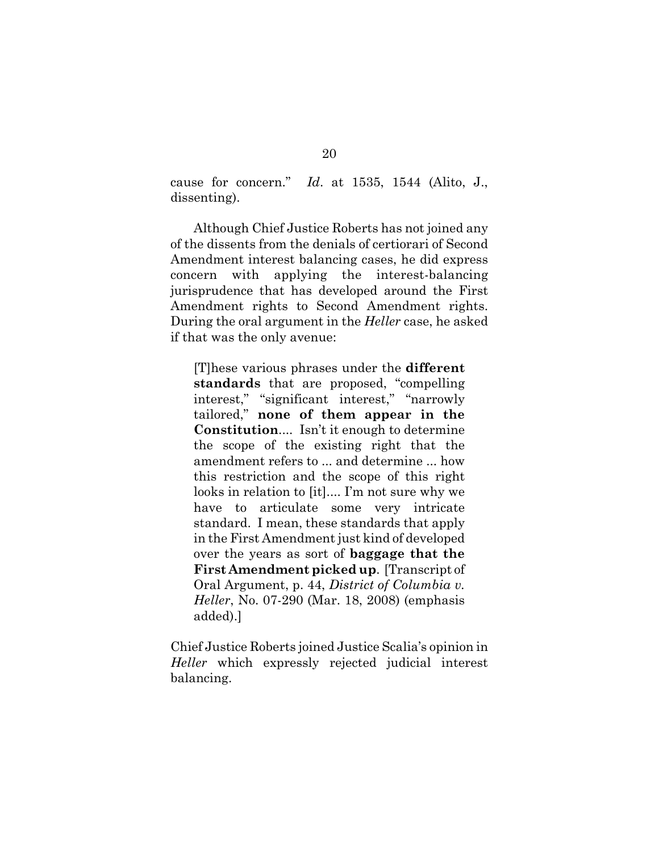cause for concern." *Id*. at 1535, 1544 (Alito, J., dissenting).

Although Chief Justice Roberts has not joined any of the dissents from the denials of certiorari of Second Amendment interest balancing cases, he did express concern with applying the interest-balancing jurisprudence that has developed around the First Amendment rights to Second Amendment rights. During the oral argument in the *Heller* case, he asked if that was the only avenue:

[T]hese various phrases under the **different standards** that are proposed, "compelling interest," "significant interest," "narrowly tailored," **none of them appear in the Constitution**.... Isn't it enough to determine the scope of the existing right that the amendment refers to ... and determine ... how this restriction and the scope of this right looks in relation to [it].... I'm not sure why we have to articulate some very intricate standard. I mean, these standards that apply in the First Amendment just kind of developed over the years as sort of **baggage that the First Amendment picked up**. [Transcript of Oral Argument, p. 44, *District of Columbia v. Heller*, No. 07-290 (Mar. 18, 2008) (emphasis added).]

Chief Justice Roberts joined Justice Scalia's opinion in *Heller* which expressly rejected judicial interest balancing.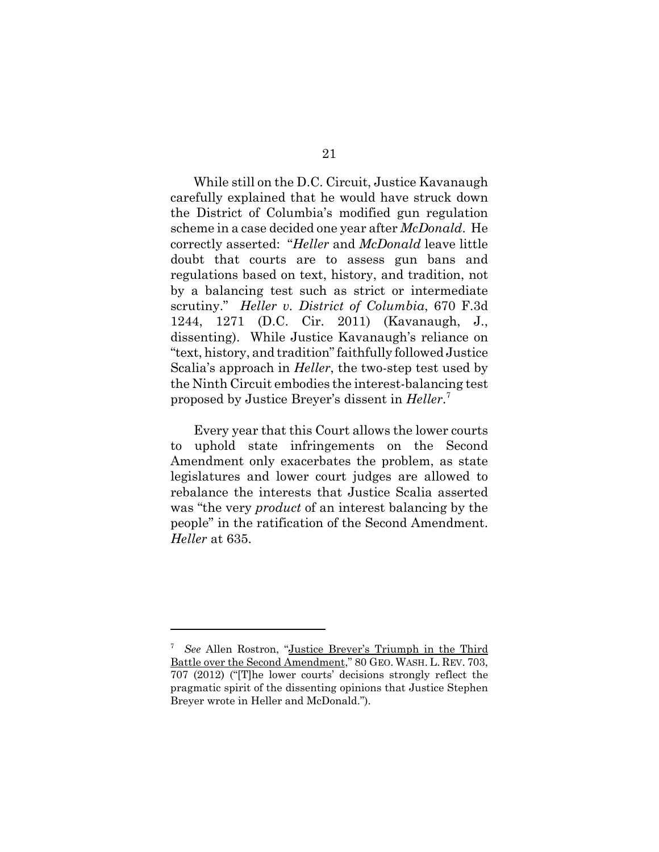While still on the D.C. Circuit, Justice Kavanaugh carefully explained that he would have struck down the District of Columbia's modified gun regulation scheme in a case decided one year after *McDonald*. He correctly asserted: "*Heller* and *McDonald* leave little doubt that courts are to assess gun bans and regulations based on text, history, and tradition, not by a balancing test such as strict or intermediate scrutiny." *Heller v. District of Columbia*, 670 F.3d 1244, 1271 (D.C. Cir. 2011) (Kavanaugh, J., dissenting). While Justice Kavanaugh's reliance on "text, history, and tradition" faithfully followed Justice Scalia's approach in *Heller*, the two-step test used by the Ninth Circuit embodies the interest-balancing test proposed by Justice Breyer's dissent in *Heller*. 7

Every year that this Court allows the lower courts to uphold state infringements on the Second Amendment only exacerbates the problem, as state legislatures and lower court judges are allowed to rebalance the interests that Justice Scalia asserted was "the very *product* of an interest balancing by the people" in the ratification of the Second Amendment. *Heller* at 635.

<sup>7</sup> *See* Allen Rostron, "Justice Breyer's Triumph in the Third Battle over the Second Amendment," 80 GEO. WASH. L. REV. 703, 707 (2012) ("[T]he lower courts' decisions strongly reflect the pragmatic spirit of the dissenting opinions that Justice Stephen Breyer wrote in Heller and McDonald.").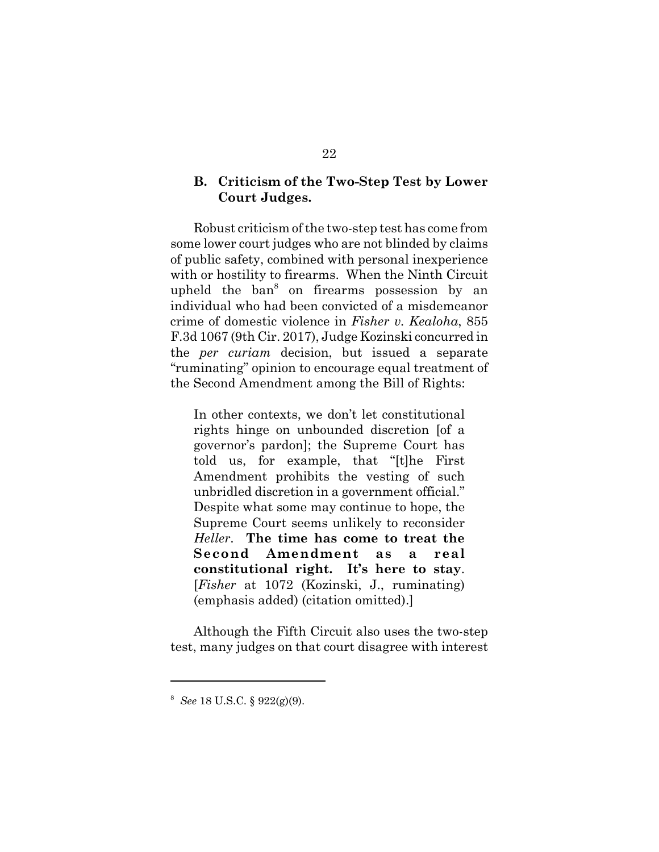## **B. Criticism of the Two-Step Test by Lower Court Judges.**

Robust criticism of the two-step test has come from some lower court judges who are not blinded by claims of public safety, combined with personal inexperience with or hostility to firearms. When the Ninth Circuit upheld the ban<sup>8</sup> on firearms possession by an individual who had been convicted of a misdemeanor crime of domestic violence in *Fisher v. Kealoha*, 855 F.3d 1067 (9th Cir. 2017), Judge Kozinski concurred in the *per curiam* decision, but issued a separate "ruminating" opinion to encourage equal treatment of the Second Amendment among the Bill of Rights:

In other contexts, we don't let constitutional rights hinge on unbounded discretion [of a governor's pardon]; the Supreme Court has told us, for example, that "[t]he First Amendment prohibits the vesting of such unbridled discretion in a government official." Despite what some may continue to hope, the Supreme Court seems unlikely to reconsider *Heller*. **The time has come to treat the Second Amendment as a real constitutional right. It's here to stay**. [*Fisher* at 1072 (Kozinski, J., ruminating) (emphasis added) (citation omitted).]

Although the Fifth Circuit also uses the two-step test, many judges on that court disagree with interest

<sup>8</sup> *See* 18 U.S.C. § 922(g)(9).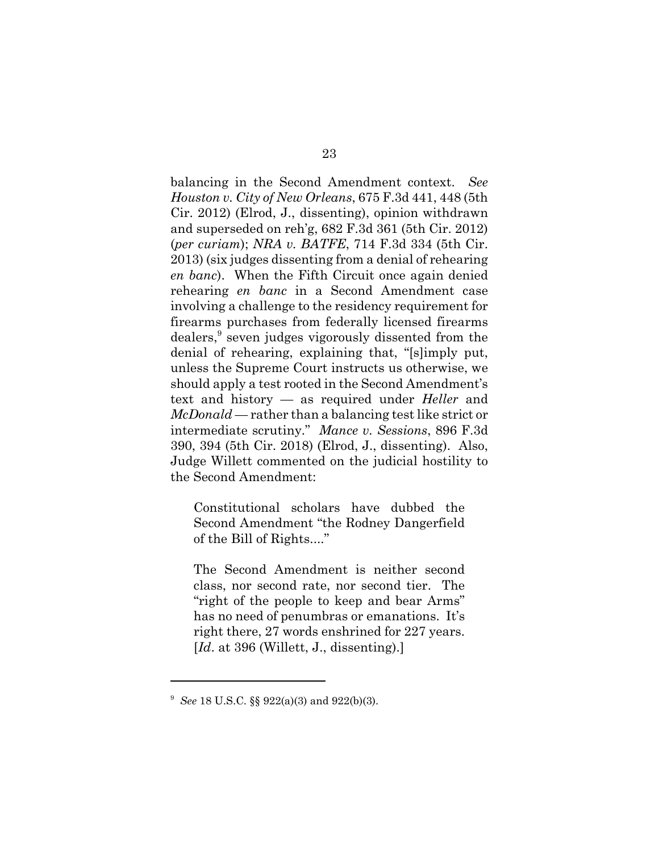balancing in the Second Amendment context. *See Houston v. City of New Orleans*, 675 F.3d 441, 448 (5th Cir. 2012) (Elrod, J., dissenting), opinion withdrawn and superseded on reh'g, 682 F.3d 361 (5th Cir. 2012) (*per curiam*); *NRA v. BATFE*, 714 F.3d 334 (5th Cir. 2013) (six judges dissenting from a denial of rehearing *en banc*). When the Fifth Circuit once again denied rehearing *en banc* in a Second Amendment case involving a challenge to the residency requirement for firearms purchases from federally licensed firearms dealers,<sup>9</sup> seven judges vigorously dissented from the denial of rehearing, explaining that, "[s]imply put, unless the Supreme Court instructs us otherwise, we should apply a test rooted in the Second Amendment's text and history — as required under *Heller* and *McDonald* — rather than a balancing test like strict or intermediate scrutiny." *Mance v. Sessions*, 896 F.3d 390, 394 (5th Cir. 2018) (Elrod, J., dissenting). Also, Judge Willett commented on the judicial hostility to the Second Amendment:

Constitutional scholars have dubbed the Second Amendment "the Rodney Dangerfield of the Bill of Rights...."

The Second Amendment is neither second class, nor second rate, nor second tier. The "right of the people to keep and bear Arms" has no need of penumbras or emanations. It's right there, 27 words enshrined for 227 years. [*Id.* at 396 (Willett, J., dissenting).]

<sup>9</sup> *See* 18 U.S.C. §§ 922(a)(3) and 922(b)(3).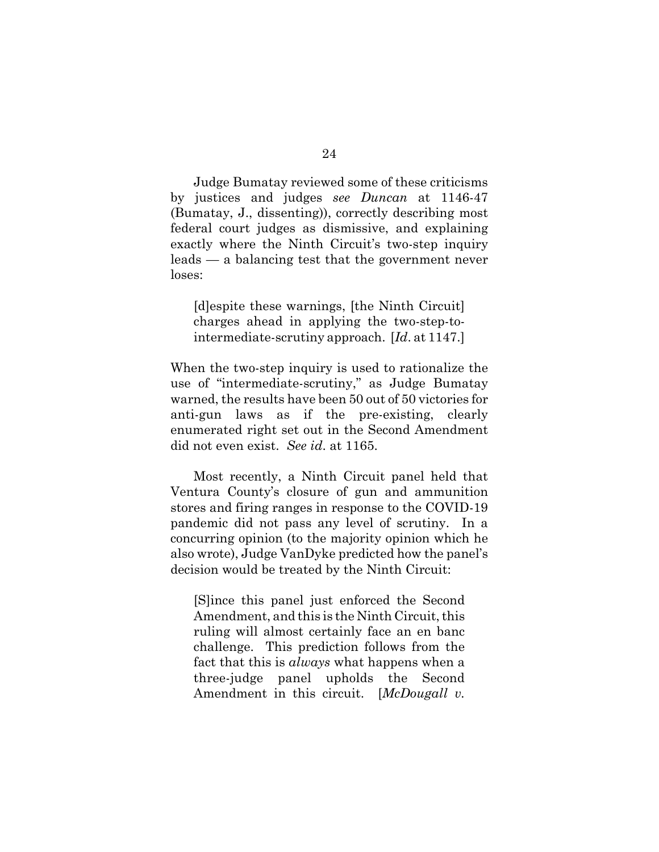Judge Bumatay reviewed some of these criticisms by justices and judges *see Duncan* at 1146-47 (Bumatay, J., dissenting)), correctly describing most federal court judges as dismissive, and explaining exactly where the Ninth Circuit's two-step inquiry leads — a balancing test that the government never loses:

[d]espite these warnings, [the Ninth Circuit] charges ahead in applying the two-step-tointermediate-scrutiny approach. [*Id*. at 1147.]

When the two-step inquiry is used to rationalize the use of "intermediate-scrutiny," as Judge Bumatay warned, the results have been 50 out of 50 victories for anti-gun laws as if the pre-existing, clearly enumerated right set out in the Second Amendment did not even exist. *See id*. at 1165.

Most recently, a Ninth Circuit panel held that Ventura County's closure of gun and ammunition stores and firing ranges in response to the COVID-19 pandemic did not pass any level of scrutiny. In a concurring opinion (to the majority opinion which he also wrote), Judge VanDyke predicted how the panel's decision would be treated by the Ninth Circuit:

[S]ince this panel just enforced the Second Amendment, and this is the Ninth Circuit, this ruling will almost certainly face an en banc challenge. This prediction follows from the fact that this is *always* what happens when a three-judge panel upholds the Second Amendment in this circuit. [*McDougall v.*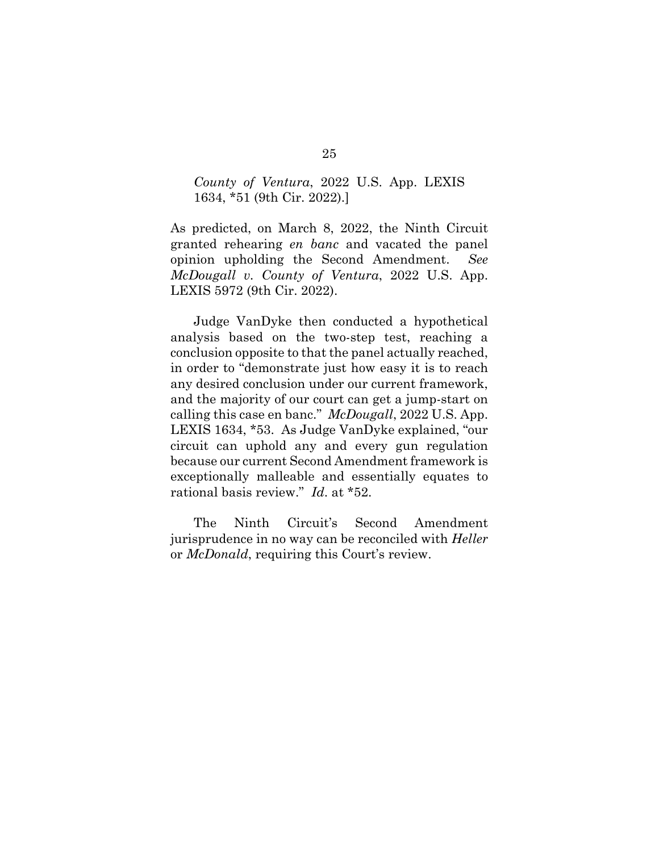## *County of Ventura*, 2022 U.S. App. LEXIS 1634, \*51 (9th Cir. 2022).]

As predicted, on March 8, 2022, the Ninth Circuit granted rehearing *en banc* and vacated the panel opinion upholding the Second Amendment. *See McDougall v. County of Ventura*, 2022 U.S. App. LEXIS 5972 (9th Cir. 2022).

Judge VanDyke then conducted a hypothetical analysis based on the two-step test, reaching a conclusion opposite to that the panel actually reached, in order to "demonstrate just how easy it is to reach any desired conclusion under our current framework, and the majority of our court can get a jump-start on calling this case en banc." *McDougall*, 2022 U.S. App. LEXIS 1634, \*53. As Judge VanDyke explained, "our circuit can uphold any and every gun regulation because our current Second Amendment framework is exceptionally malleable and essentially equates to rational basis review." *Id*. at \*52.

The Ninth Circuit's Second Amendment jurisprudence in no way can be reconciled with *Heller* or *McDonald*, requiring this Court's review.